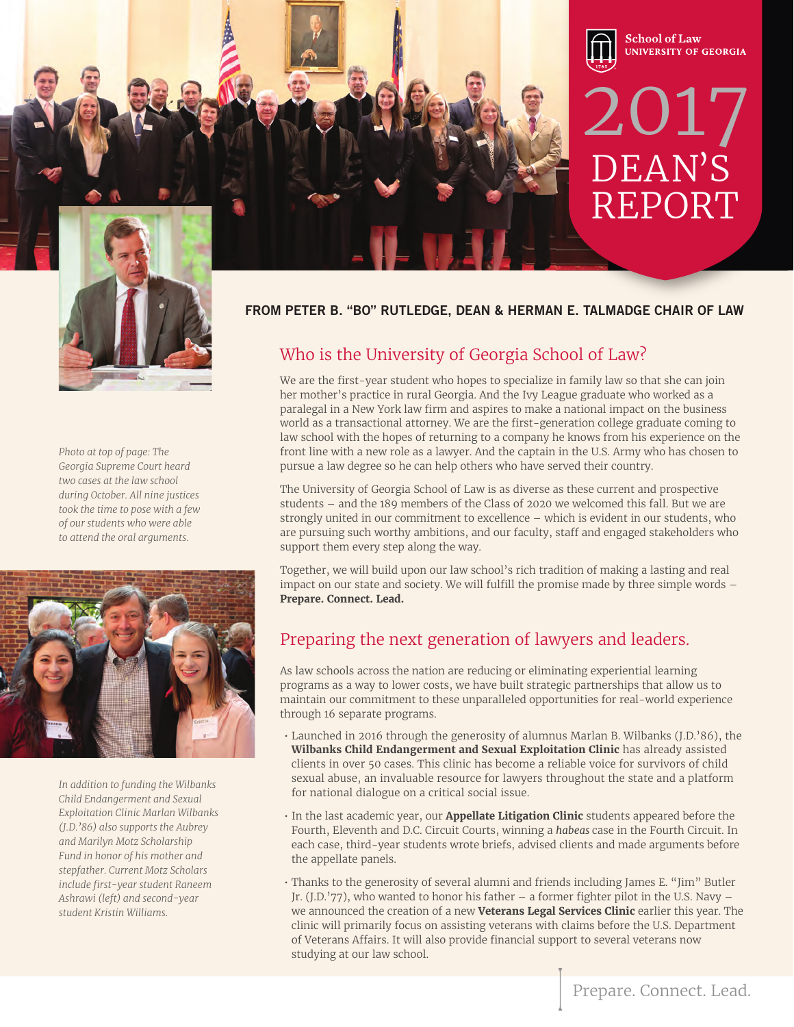

*Photo at top of page: The Georgia Supreme Court heard two cases at the law school during October. All nine justices took the time to pose with a few of our students who were able to attend the oral arguments.* 



*In addition to funding the Wilbanks Child Endangerment and Sexual Exploitation Clinic Marlan Wilbanks (J.D.'86) also supports the Aubrey and Marilyn Motz Scholarship Fund in honor of his mother and stepfather. Current Motz Scholars include first-year student Raneem Ashrawi (left) and second-year student Kristin Williams.*

### **FROM PETER B. "BO" RUTLEDGE, DEAN & HERMAN E. TALMADGE CHAIR OF LAW**

### Who is the University of Georgia School of Law?

We are the first-year student who hopes to specialize in family law so that she can join her mother's practice in rural Georgia. And the Ivy League graduate who worked as a paralegal in a New York law firm and aspires to make a national impact on the business world as a transactional attorney. We are the first-generation college graduate coming to law school with the hopes of returning to a company he knows from his experience on the front line with a new role as a lawyer. And the captain in the U.S. Army who has chosen to pursue a law degree so he can help others who have served their country.

The University of Georgia School of Law is as diverse as these current and prospective students – and the 189 members of the Class of 2020 we welcomed this fall. But we are strongly united in our commitment to excellence – which is evident in our students, who are pursuing such worthy ambitions, and our faculty, staff and engaged stakeholders who support them every step along the way.

Together, we will build upon our law school's rich tradition of making a lasting and real impact on our state and society. We will fulfill the promise made by three simple words – **Prepare. Connect. Lead.**

### Preparing the next generation of lawyers and leaders.

As law schools across the nation are reducing or eliminating experiential learning programs as a way to lower costs, we have built strategic partnerships that allow us to maintain our commitment to these unparalleled opportunities for real-world experience through 16 separate programs.

- Launched in 2016 through the generosity of alumnus Marlan B. Wilbanks (J.D.'86), the **Wilbanks Child Endangerment and Sexual Exploitation Clinic** has already assisted clients in over 50 cases. This clinic has become a reliable voice for survivors of child sexual abuse, an invaluable resource for lawyers throughout the state and a platform for national dialogue on a critical social issue.
- In the last academic year, our **Appellate Litigation Clinic** students appeared before the Fourth, Eleventh and D.C. Circuit Courts, winning a *habeas* case in the Fourth Circuit. In each case, third-year students wrote briefs, advised clients and made arguments before the appellate panels.
- Thanks to the generosity of several alumni and friends including James E. "Jim" Butler Jr. (J.D.'77), who wanted to honor his father – a former fighter pilot in the U.S. Navy – we announced the creation of a new **Veterans Legal Services Clinic** earlier this year. The clinic will primarily focus on assisting veterans with claims before the U.S. Department of Veterans Affairs. It will also provide financial support to several veterans now studying at our law school.

DEAN'S

2017

**School of Law** 

**UNIVERSITY OF GEORGIA** 

REPORT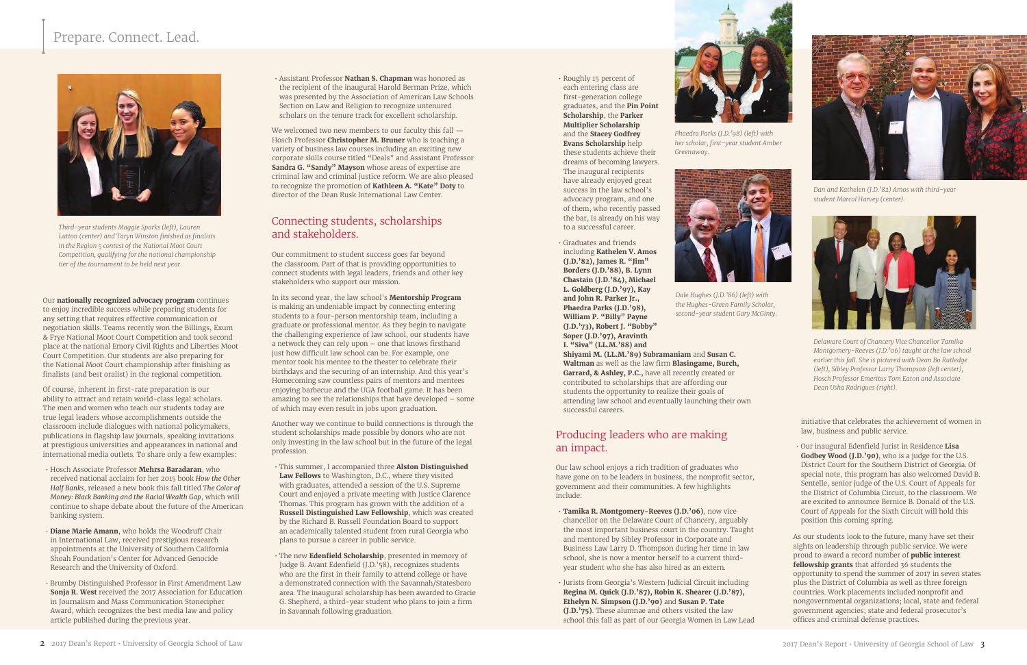• Assistant Professor **Nathan S. Chapman** was honored as the recipient of the inaugural Harold Berman Prize, which was presented by the Association of American Law Schools Section on Law and Religion to recognize untenured scholars on the tenure track for excellent scholarship.

We welcomed two new members to our faculty this fall  $-$ Hosch Professor **Christopher M. Bruner** who is teaching a variety of business law courses including an exciting new corporate skills course titled "Deals" and Assistant Professor **Sandra G. "Sandy" Mayson** whose areas of expertise are criminal law and criminal justice reform. We are also pleased to recognize the promotion of **Kathleen A. "Kate" Doty** to director of the Dean Rusk International Law Center.

### Connecting students, scholarships and stakeholders.

Our commitment to student success goes far beyond the classroom. Part of that is providing opportunities to connect students with legal leaders, friends and other key stakeholders who support our mission.

In its second year, the law school's **Mentorship Program** is making an undeniable impact by connecting entering students to a four-person mentorship team, including a graduate or professional mentor. As they begin to navigate the challenging experience of law school, our students have a network they can rely upon – one that knows firsthand just how difficult law school can be. For example, one mentor took his mentee to the theater to celebrate their birthdays and the securing of an internship. And this year's Homecoming saw countless pairs of mentors and mentees enjoying barbecue and the UGA football game. It has been amazing to see the relationships that have developed – some of which may even result in jobs upon graduation.

Another way we continue to build connections is through the student scholarships made possible by donors who are not only investing in the law school but in the future of the legal profession.

- This summer, I accompanied three **Alston Distinguished Law Fellows** to Washington, D.C., where they visited with graduates, attended a session of the U.S. Supreme Court and enjoyed a private meeting with Justice Clarence Thomas. This program has grown with the addition of a **Russell Distinguished Law Fellowship**, which was created by the Richard B. Russell Foundation Board to support an academically talented student from rural Georgia who plans to pursue a career in public service.
- The new **Edenfield Scholarship**, presented in memory of Judge B. Avant Edenfield (J.D.'58), recognizes students who are the first in their family to attend college or have a demonstrated connection with the Savannah/Statesboro area. The inaugural scholarship has been awarded to Gracie G. Shepherd, a third-year student who plans to join a firm in Savannah following graduation.

• Roughly 15 percent of each entering class are first-generation college graduates, and the **Pin Point Scholarship**, the **Parker Multiplier Scholarship** and the **Stacey Godfrey Evans Scholarship** help these students achieve their dreams of becoming lawyers. The inaugural recipients have already enjoyed great success in the law school's advocacy program, and one of them, who recently passed

the bar, is already on his way to a successful career.

• Graduates and friends including **Kathelen V. Amos (J.D.'82), James R. "Jim" Borders (J.D.'88), B. Lynn Chastain (J.D.'84), Michael L. Goldberg (J.D.'97), Kay and John R. Parker Jr., Phaedra Parks (J.D.'98), William P. "Billy" Payne (J.D.'73), Robert J. "Bobby" Soper (J.D.'97), Aravinth I. "Siva" (LL.M.'88) and** 

**Shiyami M. (LL.M.'89) Subramaniam** and **Susan C. Waltman** as well as the law firm **Blasingame, Burch, Garrard, & Ashley, P.C.,** have all recently created or contributed to scholarships that are affording our students the opportunity to realize their goals of attending law school and eventually launching their own successful careers.

### Producing leaders who are making an impact.

Our law school enjoys a rich tradition of graduates who have gone on to be leaders in business, the nonprofit sector, government and their communities. A few highlights include:

- **Tamika R. Montgomery-Reeves (J.D.'06)**, now vice chancellor on the Delaware Court of Chancery, arguably the most important business court in the country. Taught and mentored by Sibley Professor in Corporate and Business Law Larry D. Thompson during her time in law school, she is now a mentor herself to a current thirdyear student who she has also hired as an extern.
- Jurists from Georgia's Western Judicial Circuit including **Regina M. Quick (J.D.'87), Robin K. Shearer (J.D.'87), Ethelyn N. Simpson (J.D.'90)** and **Susan P. Tate (J.D.'75)**. These alumnae and others visited the law school this fall as part of our Georgia Women in Law Lead

#### Our **nationally recognized advocacy program** continues

to enjoy incredible success while preparing students for any setting that requires effective communication or negotiation skills. Teams recently won the Billings, Exum & Frye National Moot Court Competition and took second place at the national Emory Civil Rights and Liberties Moot Court Competition. Our students are also preparing for the National Moot Court championship after finishing as finalists (and best oralist) in the regional competition.

Of course, inherent in first-rate preparation is our ability to attract and retain world-class legal scholars. The men and women who teach our students today are true legal leaders whose accomplishments outside the classroom include dialogues with national policymakers, publications in flagship law journals, speaking invitations at prestigious universities and appearances in national and international media outlets. To share only a few examples:

- Hosch Associate Professor **Mehrsa Baradaran**, who received national acclaim for her 2015 book *How the Other Half Banks*, released a new book this fall titled *The Color of Money: Black Banking and the Racial Wealth Gap*, which will continue to shape debate about the future of the American banking system.
- **Diane Marie Amann**, who holds the Woodruff Chair in International Law, received prestigious research appointments at the University of Southern California Shoah Foundation's Center for Advanced Genocide Research and the University of Oxford.
- Brumby Distinguished Professor in First Amendment Law **Sonja R. West** received the 2017 Association for Education in Journalism and Mass Communication Stonecipher Award, which recognizes the best media law and policy article published during the previous year.

initiative that celebrates the achievement of women in law, business and public service.

• Our inaugural Edenfield Jurist in Residence **Lisa Godbey Wood (J.D.'90)**, who is a judge for the U.S. District Court for the Southern District of Georgia. Of special note, this program has also welcomed David B. Sentelle, senior judge of the U.S. Court of Appeals for the District of Columbia Circuit, to the classroom. We are excited to announce Bernice B. Donald of the U.S. Court of Appeals for the Sixth Circuit will hold this position this coming spring.

As our students look to the future, many have set their sights on leadership through public service. We were proud to award a record number of **public interest fellowship grants** that afforded 36 students the opportunity to spend the summer of 2017 in seven states plus the District of Columbia as well as three foreign countries. Work placements included nonprofit and nongovernmental organizations; local, state and federal government agencies; state and federal prosecutor's offices and criminal defense practices.

# Prepare. Connect. Lead.



*Third-year students Maggie Sparks (left), Lauren Lutton (center) and Taryn Winston finished as finalists in the Region 5 contest of the National Moot Court Competition, qualifying for the national championship tier of the tournament to be held next year.*



*Greenaway.*



*Dan and Kathelen (J.D.'82) Amos with third-year student Marcol Harvey (center).*



*Delaware Court of Chancery Vice Chancellor Tamika Montgomery-Reeves (J.D.'06) taught at the law school earlier this fall. She is pictured with Dean Bo Rutledge (left), Sibley Professor Larry Thompson (left center), Hosch Professor Emeritus Tom Eaton and Associate Dean Usha Rodrigues (right).*



*Dale Hughes (J.D.'86) (left) with the Hughes-Green Family Scholar, second-year student Gary McGinty.*